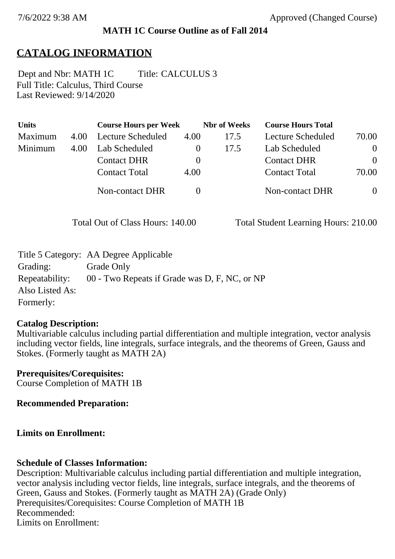### **MATH 1C Course Outline as of Fall 2014**

# **CATALOG INFORMATION**

Full Title: Calculus, Third Course Last Reviewed: 9/14/2020 Dept and Nbr: MATH 1C Title: CALCULUS 3

| <b>Units</b> |      | <b>Course Hours per Week</b> |          | <b>Nbr</b> of Weeks | <b>Course Hours Total</b> |                |
|--------------|------|------------------------------|----------|---------------------|---------------------------|----------------|
| Maximum      | 4.00 | Lecture Scheduled            | 4.00     | 17.5                | Lecture Scheduled         | 70.00          |
| Minimum      | 4.00 | Lab Scheduled                | $\theta$ | 17.5                | Lab Scheduled             | $\overline{0}$ |
|              |      | <b>Contact DHR</b>           | $\theta$ |                     | <b>Contact DHR</b>        | $\theta$       |
|              |      | <b>Contact Total</b>         | 4.00     |                     | <b>Contact Total</b>      | 70.00          |
|              |      | Non-contact DHR              |          |                     | Non-contact DHR           | $\overline{0}$ |

Total Out of Class Hours: 140.00 Total Student Learning Hours: 210.00

|                 | Title 5 Category: AA Degree Applicable        |
|-----------------|-----------------------------------------------|
| Grading:        | Grade Only                                    |
| Repeatability:  | 00 - Two Repeats if Grade was D, F, NC, or NP |
| Also Listed As: |                                               |
| Formerly:       |                                               |

### **Catalog Description:**

Multivariable calculus including partial differentiation and multiple integration, vector analysis including vector fields, line integrals, surface integrals, and the theorems of Green, Gauss and Stokes. (Formerly taught as MATH 2A)

**Prerequisites/Corequisites:** Course Completion of MATH 1B

**Recommended Preparation:**

### **Limits on Enrollment:**

### **Schedule of Classes Information:**

Description: Multivariable calculus including partial differentiation and multiple integration, vector analysis including vector fields, line integrals, surface integrals, and the theorems of Green, Gauss and Stokes. (Formerly taught as MATH 2A) (Grade Only) Prerequisites/Corequisites: Course Completion of MATH 1B Recommended: Limits on Enrollment: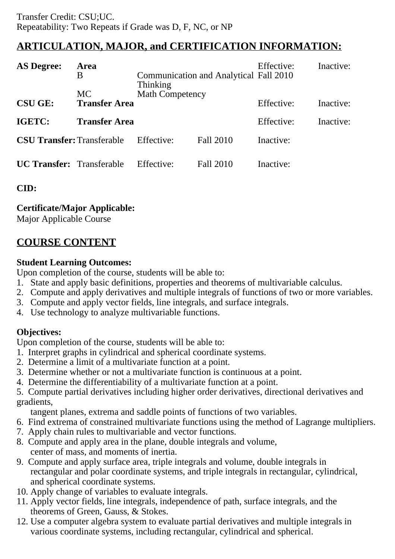# **ARTICULATION, MAJOR, and CERTIFICATION INFORMATION:**

| <b>AS Degree:</b>                 | Area<br>Β<br><b>MC</b> | Thinking<br><b>Math Competency</b> | Communication and Analytical Fall 2010 | Effective: | Inactive: |
|-----------------------------------|------------------------|------------------------------------|----------------------------------------|------------|-----------|
| <b>CSU GE:</b>                    | <b>Transfer Area</b>   |                                    |                                        | Effective: | Inactive: |
| IGETC:                            | <b>Transfer Area</b>   |                                    |                                        | Effective: | Inactive: |
| <b>CSU Transfer: Transferable</b> |                        | Effective:                         | Fall 2010                              | Inactive:  |           |
| <b>UC Transfer:</b> Transferable  |                        | Effective:                         | Fall 2010                              | Inactive:  |           |

**CID:**

## **Certificate/Major Applicable:**

[Major Applicable Course](SR_ClassCheck.aspx?CourseKey=MATH1C)

## **COURSE CONTENT**

### **Student Learning Outcomes:**

Upon completion of the course, students will be able to:

- 1. State and apply basic definitions, properties and theorems of multivariable calculus.
- 2. Compute and apply derivatives and multiple integrals of functions of two or more variables.
- 3. Compute and apply vector fields, line integrals, and surface integrals.
- 4. Use technology to analyze multivariable functions.

## **Objectives:**

Upon completion of the course, students will be able to:

- 1. Interpret graphs in cylindrical and spherical coordinate systems.
- 2. Determine a limit of a multivariate function at a point.
- 3. Determine whether or not a multivariate function is continuous at a point.
- 4. Determine the differentiability of a multivariate function at a point.

5. Compute partial derivatives including higher order derivatives, directional derivatives and gradients,

tangent planes, extrema and saddle points of functions of two variables.

- 6. Find extrema of constrained multivariate functions using the method of Lagrange multipliers.
- 7. Apply chain rules to multivariable and vector functions.
- 8. Compute and apply area in the plane, double integrals and volume, center of mass, and moments of inertia.
- 9. Compute and apply surface area, triple integrals and volume, double integrals in rectangular and polar coordinate systems, and triple integrals in rectangular, cylindrical, and spherical coordinate systems.
- 10. Apply change of variables to evaluate integrals.
- 11. Apply vector fields, line integrals, independence of path, surface integrals, and the theorems of Green, Gauss, & Stokes.
- 12. Use a computer algebra system to evaluate partial derivatives and multiple integrals in various coordinate systems, including rectangular, cylindrical and spherical.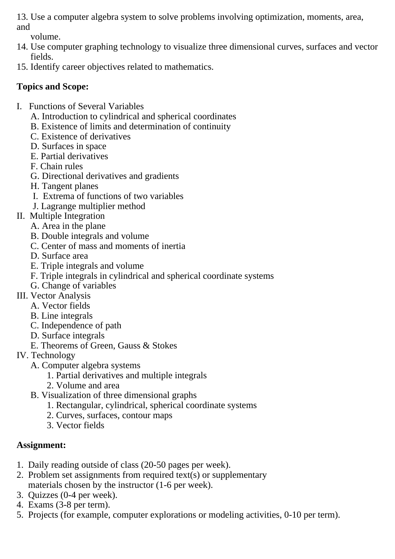13. Use a computer algebra system to solve problems involving optimization, moments, area, and

volume.

- 14. Use computer graphing technology to visualize three dimensional curves, surfaces and vector fields.
- 15. Identify career objectives related to mathematics.

# **Topics and Scope:**

- I. Functions of Several Variables
	- A. Introduction to cylindrical and spherical coordinates
	- B. Existence of limits and determination of continuity
	- C. Existence of derivatives
	- D. Surfaces in space
	- E. Partial derivatives
	- F. Chain rules
	- G. Directional derivatives and gradients
	- H. Tangent planes
	- I. Extrema of functions of two variables
	- J. Lagrange multiplier method
- II. Multiple Integration
	- A. Area in the plane
	- B. Double integrals and volume
	- C. Center of mass and moments of inertia
	- D. Surface area
	- E. Triple integrals and volume
	- F. Triple integrals in cylindrical and spherical coordinate systems
	- G. Change of variables
- III. Vector Analysis
	- A. Vector fields
	- B. Line integrals
	- C. Independence of path
	- D. Surface integrals
	- E. Theorems of Green, Gauss & Stokes
- IV. Technology
	- A. Computer algebra systems
		- 1. Partial derivatives and multiple integrals
		- 2. Volume and area
	- B. Visualization of three dimensional graphs
		- 1. Rectangular, cylindrical, spherical coordinate systems
			- 2. Curves, surfaces, contour maps
			- 3. Vector fields

# **Assignment:**

- 1. Daily reading outside of class (20-50 pages per week).
- 2. Problem set assignments from required text(s) or supplementary materials chosen by the instructor (1-6 per week).
- 3. Quizzes (0-4 per week).
- 4. Exams (3-8 per term).
- 5. Projects (for example, computer explorations or modeling activities, 0-10 per term).